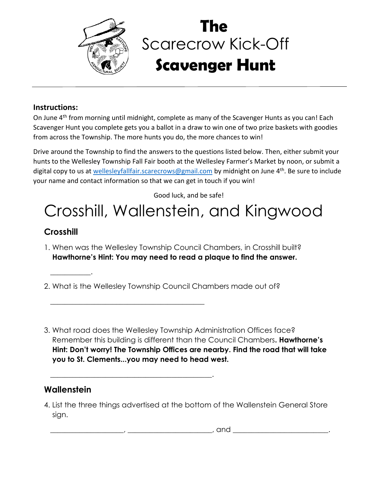

## Scarecrow Kick-Off **Scavenger Hunt The**

#### **Instructions:**

On June 4<sup>th</sup> from morning until midnight, complete as many of the Scavenger Hunts as you can! Each Scavenger Hunt you complete gets you a ballot in a draw to win one of two prize baskets with goodies from across the Township. The more hunts you do, the more chances to win!

Drive around the Township to find the answers to the questions listed below. Then, either submit your hunts to the Wellesley Township Fall Fair booth at the Wellesley Farmer's Market by noon, or submit a digital copy to us at [wellesleyfallfair.scarecrows@gmail.com](mailto:wellesleyfallfair.scarecrows@gmail.com) by midnight on June 4<sup>th</sup>. Be sure to include your name and contact information so that we can get in touch if you win!

Good luck, and be safe!

# Crosshill, Wallenstein, and Kingwood

## **Crosshill**

 $\overline{\phantom{a}}$  . The contract of  $\overline{\phantom{a}}$ 

- 1. When was the Wellesley Township Council Chambers, in Crosshill built? **Hawthorne's Hint: You may need to read a plaque to find the answer.**
- 2. What is the Wellesley Township Council Chambers made out of?

 $\overline{\phantom{a}}$  , which is a set of the set of the set of the set of the set of the set of the set of the set of the set of the set of the set of the set of the set of the set of the set of the set of the set of the set of th

\_\_\_\_\_\_\_\_\_\_\_\_\_\_\_\_\_\_\_\_\_\_\_\_\_\_\_\_\_\_\_\_\_\_\_\_\_\_\_\_\_\_\_\_.

3. What road does the Wellesley Township Administration Offices face? Remember this building is different than the Council Chambers**. Hawthorne's Hint: Don't worry! The Township Offices are nearby. Find the road that will take you to St. Clements...you may need to head west.**

### **Wallenstein**

4. List the three things advertised at the bottom of the Wallenstein General Store sign.